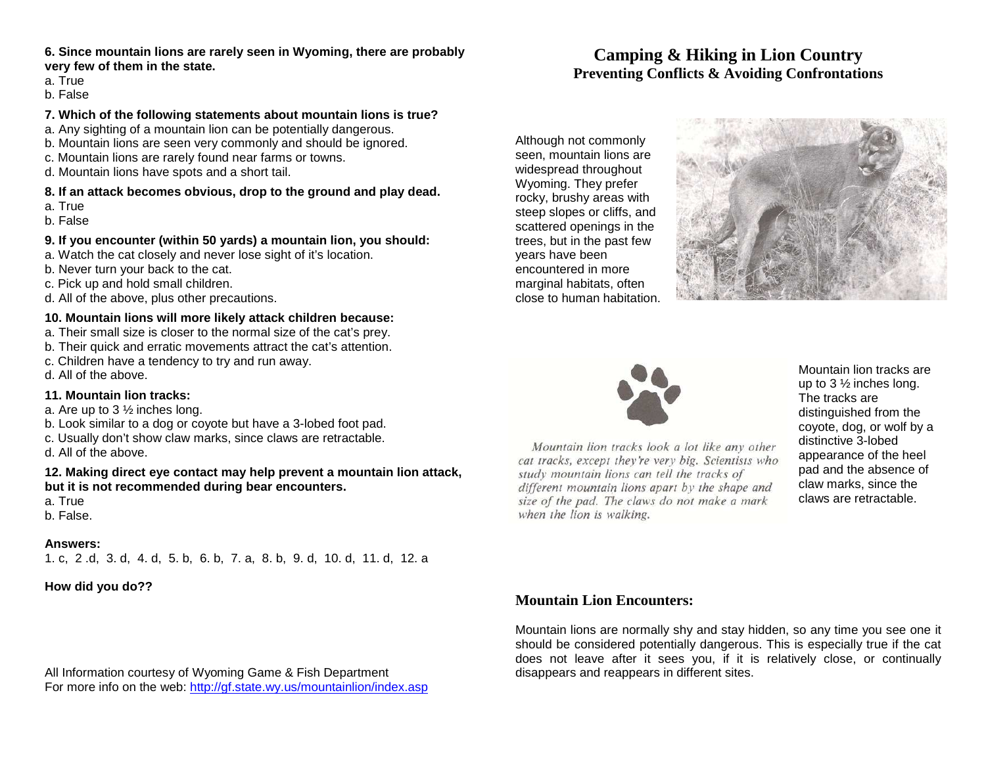### **6. Since mountain lions are rarely seen in Wyoming, there are probably very few of them in the state.**

- a. True
- b. False

### **7. Which of the following statements about mountain lions is true?**

- a. Any sighting of a mountain lion can be potentially dangerous.
- b. Mountain lions are seen very commonly and should be ignored.
- c. Mountain lions are rarely found near farms or towns.
- d. Mountain lions have spots and a short tail.

### **8. If an attack becomes obvious, drop to the ground and play dead.**

- a. True
- b. False

## **9. If you encounter (within 50 yards) a mountain lion, you should:**

- a. Watch the cat closely and never lose sight of it's location.
- b. Never turn your back to the cat.
- c. Pick up and hold small children.
- d. All of the above, plus other precautions.

### **10. Mountain lions will more likely attack children because:**

- a. Their small size is closer to the normal size of the cat's prey.
- b. Their quick and erratic movements attract the cat's attention.
- c. Children have a tendency to try and run away.
- d. All of the above.

### **11. Mountain lion tracks:**

- a. Are up to 3 ½ inches long.
- b. Look similar to a dog or coyote but have a 3-lobed foot pad.
- c. Usually don't show claw marks, since claws are retractable.
- d. All of the above.

### **12. Making direct eye contact may help prevent a mountain lion attack, but it is not recommended during bear encounters.**

- a. True
- b. False.

### **Answers:**

1. c, 2 .d, 3. d, 4. d, 5. b, 6. b, 7. a, 8. b, 9. d, 10. d, 11. d, 12. a

**How did you do??** 

All Information courtesy of Wyoming Game & Fish Department For more info on the web: http://gf.state.wy.us/mountainlion/index.asp

# **Camping & Hiking in Lion CountryPreventing Conflicts & Avoiding Confrontations**

Although not commonly seen, mountain lions are widespread throughout Wyoming. They prefer rocky, brushy areas with steep slopes or cliffs, and scattered openings in the trees, but in the past few years have been encountered in more marginal habitats, often close to human habitation.





Mountain lion tracks look a lot like any other cat tracks, except they're very big. Scientists who study mountain lions can tell the tracks of different mountain lions apart by the shape and size of the pad. The claws do not make a mark when the lion is walking.

Mountain lion tracks are up to 3 ½ inches long. The tracks are distinguished from the coyote, dog, or wolf by a distinctive 3-lobed appearance of the heel pad and the absence of claw marks, since the claws are retractable.

# **Mountain Lion Encounters:**

Mountain lions are normally shy and stay hidden, so any time you see one it should be considered potentially dangerous. This is especially true if the cat does not leave after it sees you, if it is relatively close, or continually disappears and reappears in different sites.